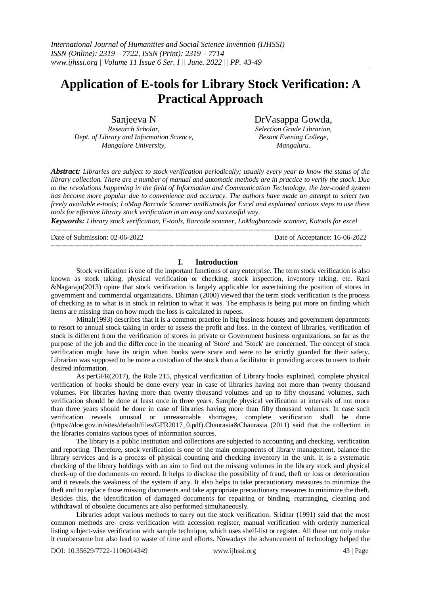# **Application of E-tools for Library Stock Verification: A Practical Approach**

Sanjeeva N *Research Scholar, Dept. of Library and Information Science, Mangalore University,*

DrVasappa Gowda, *Selection Grade Librarian,*

*Besant Evening College, Mangaluru.*

*Abstract: Libraries are subject to stock verification periodically; usually every year to know the status of the library collection. There are a number of manual and automatic methods are in practice to verify the stock. Due to the revolutions happening in the field of Information and Communication Technology, the bar-coded system has become more popular due to convenience and accuracy. The authors have made an attempt to select two freely available e-tools; LoMag Barcode Scanner andKutools for Excel and explained various steps to use these tools for effective library stock verification in an easy and successful way.*

*Keywords: Library stock verification, E-tools, Barcode scanner, LoMagbarcode scanner, Kutools for excel* ------------------------------------------------------------------------------------------------------------------------------------

Date of Submission: 02-06-2022 Date of Acceptance: 16-06-2022

### **I. Introduction**

------------------------------------------------------------------------------------------------------------------------------------

Stock verification is one of the important functions of any enterprise. The term stock verification is also known as stock taking, physical verification or checking, stock inspection, inventory taking, etc. Rani &Nagaraju(2013) opine that stock verification is largely applicable for ascertaining the position of stores in government and commercial organizations. Dhiman (2000) viewed that the term stock verification is the process of checking as to what is in stock in relation to what it was. The emphasis is being put more on finding which items are missing than on how much the loss is calculated in rupees.

Mittal(1993) describes that it is a common practice in big business houses and government departments to resort to annual stock taking in order to assess the profit and loss. In the context of libraries, verification of stock is different from the verification of stores in private or Government business organizations, so far as the purpose of the job and the difference in the meaning of 'Store' and 'Stock' are concerned. The concept of stock verification might have its origin when books were scare and were to be strictly guarded for their safety. Librarian was supposed to be more a custodian of the stock than a facilitator in providing access to users to their desired information.

As perGFR(2017), the Rule 215, physical verification of Library books explained, complete physical verification of books should be done every year in case of libraries having not more than twenty thousand volumes. For libraries having more than twenty thousand volumes and up to fifty thousand volumes, such verification should be done at least once in three years. Sample physical verification at intervals of not more than three years should be done in case of libraries having more than fifty thousand volumes. In case such verification reveals unusual or unreasonable shortages, complete verification shall be done (https://doe.gov.in/sites/default/files/GFR2017\_0.pdf).Chaurasia&Chaurasia (2011) said that the collection in the libraries contains various types of information sources.

The library is a public institution and collections are subjected to accounting and checking, verification and reporting. Therefore, stock verification is one of the main components of library management, balance the library services and is a process of physical counting and checking inventory in the unit. It is a systematic checking of the library holdings with an aim to find out the missing volumes in the library stock and physical check-up of the documents on record. It helps to disclose the possibility of fraud, theft or loss or deterioration and it reveals the weakness of the system if any. It also helps to take precautionary measures to minimize the theft and to replace those missing documents and take appropriate precautionary measures to minimize the theft. Besides this, the identification of damaged documents for repairing or binding, rearranging, cleaning and withdrawal of obsolete documents are also performed simultaneously.

Libraries adopt various methods to carry out the stock verification. Sridhar (1991) said that the most common methods are- cross verification with accession register, manual verification with orderly numerical listing subject-wise verification with sample technique, which uses shelf-list or register. All these not only make it cumbersome but also lead to waste of time and efforts. Nowadays the advancement of technology helped the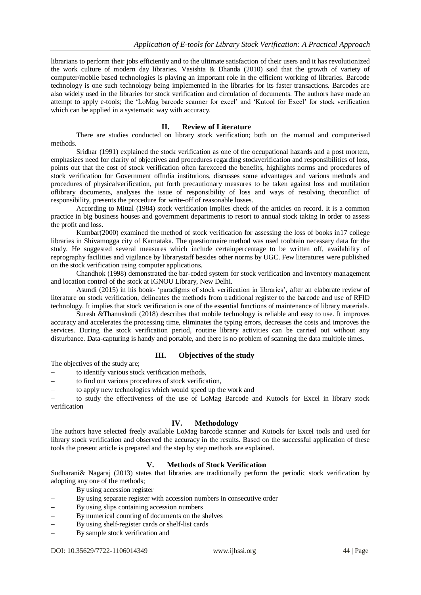librarians to perform their jobs efficiently and to the ultimate satisfaction of their users and it has revolutionized the work culture of modern day libraries. Vasishta & Dhanda (2010) said that the growth of variety of computer/mobile based technologies is playing an important role in the efficient working of libraries. Barcode technology is one such technology being implemented in the libraries for its faster transactions. Barcodes are also widely used in the libraries for stock verification and circulation of documents. The authors have made an attempt to apply e-tools; the 'LoMag barcode scanner for excel' and 'Kutool for Excel' for stock verification which can be applied in a systematic way with accuracy.

## **II. Review of Literature**

There are studies conducted on library stock verification; both on the manual and computerised methods.

Sridhar (1991) explained the stock verification as one of the occupational hazards and a post mortem, emphasizes need for clarity of objectives and procedures regarding stockverification and responsibilities of loss, points out that the cost of stock verification often farexceed the benefits, highlights norms and procedures of stock verification for Government ofIndia institutions, discusses some advantages and various methods and procedures of physicalverification, put forth precautionary measures to be taken against loss and mutilation oflibrary documents, analyses the issue of responsibility of loss and ways of resolving theconflict of responsibility, presents the procedure for write-off of reasonable losses.

According to Mittal (1984) stock verification implies check of the articles on record. It is a common practice in big business houses and government departments to resort to annual stock taking in order to assess the profit and loss.

Kumbar(2000) examined the method of stock verification for assessing the loss of books in17 college libraries in Shivamogga city of Karnataka. The questionnaire method was used toobtain necessary data for the study. He suggested several measures which include certainpercentage to be written off, availability of reprography facilities and vigilance by librarystaff besides other norms by UGC. Few literatures were published on the stock verification using computer applications.

Chandhok (1998) demonstrated the bar-coded system for stock verification and inventory management and location control of the stock at IGNOU Library, New Delhi.

Asundi (2015) in his book- 'paradigms of stock verification in libraries', after an elaborate review of literature on stock verification, delineates the methods from traditional register to the barcode and use of RFID technology. It implies that stock verification is one of the essential functions of maintenance of library materials.

Suresh &Thanuskodi (2018) describes that mobile technology is reliable and easy to use. It improves accuracy and accelerates the processing time, eliminates the typing errors, decreases the costs and improves the services. During the stock verification period, routine library activities can be carried out without any disturbance. Data-capturing is handy and portable, and there is no problem of scanning the data multiple times.

### **III. Objectives of the study**

The objectives of the study are;

- to identify various stock verification methods,
- to find out various procedures of stock verification,
- to apply new technologies which would speed up the work and

 to study the effectiveness of the use of LoMag Barcode and Kutools for Excel in library stock verification

## **IV. Methodology**

The authors have selected freely available LoMag barcode scanner and Kutools for Excel tools and used for library stock verification and observed the accuracy in the results. Based on the successful application of these tools the present article is prepared and the step by step methods are explained.

## **V. Methods of Stock Verification**

Sudharani& Nagaraj (2013) states that libraries are traditionally perform the periodic stock verification by adopting any one of the methods;

- By using accession register
- By using separate register with accession numbers in consecutive order
- By using slips containing accession numbers
- By numerical counting of documents on the shelves
- By using shelf-register cards or shelf-list cards
- By sample stock verification and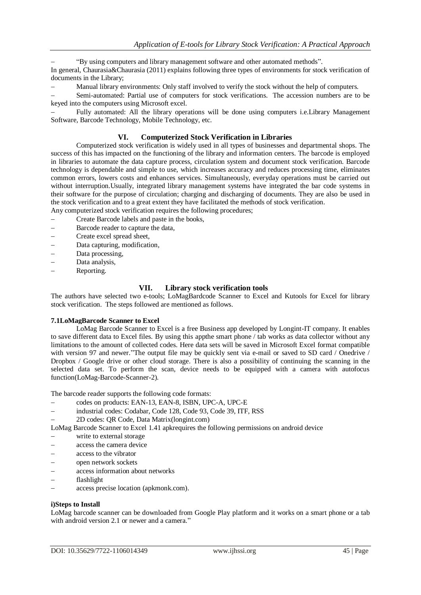"By using computers and library management software and other automated methods". In general, Chaurasia&Chaurasia (2011) explains following three types of environments for stock verification of documents in the Library;

Manual library environments: Only staff involved to verify the stock without the help of computers.

 Semi-automated: Partial use of computers for stock verifications. The accession numbers are to be keyed into the computers using Microsoft excel.

 Fully automated: All the library operations will be done using computers i.e.Library Management Software, Barcode Technology, Mobile Technology, etc.

## **VI. Computerized Stock Verification in Libraries**

Computerized stock verification is widely used in all types of businesses and departmental shops. The success of this has impacted on the functioning of the library and information centers. The barcode is employed in libraries to automate the data capture process, circulation system and document stock verification. Barcode technology is dependable and simple to use, which increases accuracy and reduces processing time, eliminates common errors, lowers costs and enhances services. Simultaneously, everyday operations must be carried out without interruption.Usually, integrated library management systems have integrated the bar code systems in their software for the purpose of circulation; charging and discharging of documents. They are also be used in the stock verification and to a great extent they have facilitated the methods of stock verification.

Any computerized stock verification requires the following procedures;

- Create Barcode labels and paste in the books,
- Barcode reader to capture the data,
- Create excel spread sheet,
- Data capturing, modification,
- Data processing,
- Data analysis,
- Reporting.

#### **VII. Library stock verification tools**

The authors have selected two e-tools; LoMagBardcode Scanner to Excel and Kutools for Excel for library stock verification. The steps followed are mentioned as follows.

#### **7.1LoMagBarcode Scanner to Excel**

LoMag Barcode Scanner to Excel is a free Business app developed by Longint-IT company. It enables to save different data to Excel files. By using this appthe smart phone / tab works as data collector without any limitations to the amount of collected codes. Here data sets will be saved in Microsoft Excel format compatible with version 97 and newer."The output file may be quickly sent via e-mail or saved to SD card / Onedrive / Dropbox / Google drive or other cloud storage. There is also a possibility of continuing the scanning in the selected data set. To perform the scan, device needs to be equipped with a camera with autofocus function(LoMag-Barcode-Scanner-2).

The barcode reader supports the following code formats:

- codes on products: EAN-13, EAN-8, ISBN, UPC-A, UPC-E
- industrial codes: Codabar, Code 128, Code 93, Code 39, ITF, RSS
- 2D codes: QR Code, Data Matrix(longint.com)

LoMag Barcode Scanner to Excel 1.41 apkrequires the following permissions on android device

- write to external storage
- access the camera device
- access to the vibrator
- open network sockets
- access information about networks
- flashlight
- access precise location (apkmonk.com).

#### **i)Steps to Install**

LoMag barcode scanner can be downloaded from Google Play platform and it works on a smart phone or a tab with android version 2.1 or newer and a camera."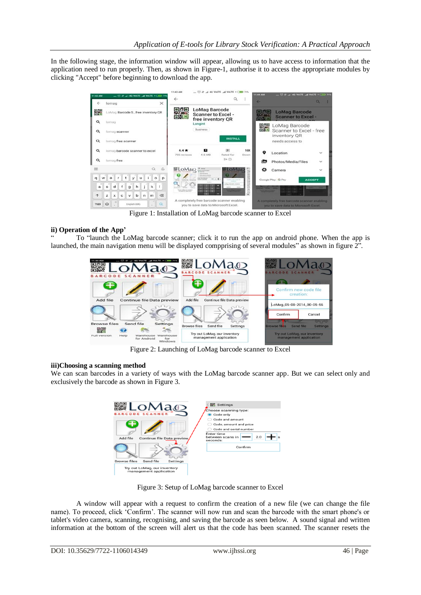In the following stage, the information window will appear, allowing us to have access to information that the application need to run properly. Then, as shown in Figure-1, authorise it to access the appropriate modules by clicking "Accept" before beginning to download the app.



Figure 1: Installation of LoMag barcode scanner to Excel

## **ii) Operation of the App'**

" To "launch the LoMag barcode scanner; click it to run the app on android phone. When the app is launched, the main navigation menu will be displayed compprising of several modules" as shown in figure 2".



Figure 2: Launching of LoMag barcode scanner to Excel

### **iii)Choosing a scanning method**

We can scan barcodes in a variety of ways with the LoMag barcode scanner app. But we can select only and exclusively the barcode as shown in Figure 3.



Figure 3: Setup of LoMag barcode scanner to Excel

A window will appear with a request to confirm the creation of a new file (we can change the file name). To proceed, click 'Confirm'. The scanner will now run and scan the barcode with the smart phone's or tablet's video camera, scanning, recognising, and saving the barcode as seen below. A sound signal and written information at the bottom of the screen will alert us that the code has been scanned. The scanner resets the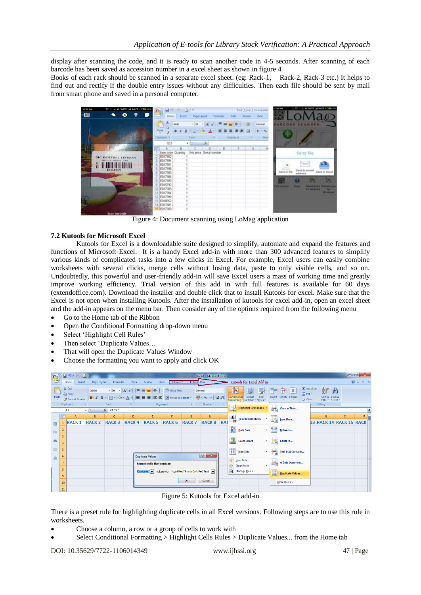display after scanning the code, and it is ready to scan another code in 4-5 seconds. After scanning of each barcode has been saved as accession number in a excel sheet as shown in figure 4

Books of each rack should be scanned in a separate excel sheet. (eg: Rack-1, Rack-2, Rack-3 etc.) It helps to find out and rectify if the double entry issues without any difficulties. Then each file should be sent by mail from smart phone and saved in a personal computer.



Figure 4: Document scanning using LoMag application

#### **7.2 Kutools for Microsoft Excel**

Kutools for Excel is a downloadable suite designed to simplify, automate and expand the features and functions of Microsoft Excel. It is a handy Excel add-in with more than 300 advanced features to simplify various kinds of complicated tasks into a few clicks in Excel. For example, Excel users can easily combine worksheets with several clicks, merge cells without losing data, paste to only visible cells, and so on. Undoubtedly, this powerful and user-friendly add-in will save Excel users a mass of working time and greatly improve working efficiency. Trial version of this add in with full features is available for 60 days (extendoffice.com). Download the installer and double click that to install Kutools for excel. Make sure that the Excel is not open when installing Kutools. After the installation of kutools for excel add-in, open an excel sheet and the add-in appears on the menu bar. Then consider any of the options required from the following menu

- Go to the Home tab of the Ribbon
- Open the Conditional Formatting drop-down menu
- Select 'Highlight Cell Rules'
- Then select 'Duplicate Values…
- That will open the Duplicate Values Window
- Choose the formatting you want to apply and click OK

| $\mathbf{G}_3$                                                                                                                     | $\begin{array}{ccc} & \text{if} & \text{if} & \text{if} & \text{if} \\ \end{array}$<br>Book1 - Microsoft Excel |                                             |                      |                                                                                            |                                     |                                                             |                               |              |                                                                     |           |                                                                                                    |                          |                                                                                                    | $-6$<br>$\mathbf{x}$              |                                         |   |
|------------------------------------------------------------------------------------------------------------------------------------|----------------------------------------------------------------------------------------------------------------|---------------------------------------------|----------------------|--------------------------------------------------------------------------------------------|-------------------------------------|-------------------------------------------------------------|-------------------------------|--------------|---------------------------------------------------------------------|-----------|----------------------------------------------------------------------------------------------------|--------------------------|----------------------------------------------------------------------------------------------------|-----------------------------------|-----------------------------------------|---|
| Kutools for Excel Add in<br><b>Kutools Plus</b><br>Kutools™<br>Home<br>Review<br>Page Layout<br>Formulas<br>Data<br>View<br>Insert |                                                                                                                |                                             |                      |                                                                                            |                                     |                                                             |                               |              |                                                                     |           | $\odot - \cdots$ x                                                                                 |                          |                                                                                                    |                                   |                                         |   |
| Ĉ<br>Paste                                                                                                                         |                                                                                                                | & Cut<br><b>Line Copy</b><br>Format Painter | Calibri              | $\overline{5}$ 16<br>$B$ $I$ $\underline{U}$ $\rightarrow$ $\rightarrow$ $\rightarrow$ $A$ | $\mathbf{A} \mathbf{A}$<br>$\equiv$ | $=$ $\frac{3}{2}$ .<br>$\equiv$<br>建建<br>토콜<br>国            | Wrap Text<br>Merge & Center * |              | General<br>$\frac{100}{200}$ - % , $\frac{4}{30}$ - $\frac{00}{20}$ |           | H <sub>2</sub><br>鷝<br>$\pm 4$<br>Cell<br>Conditional<br>Format<br>Formatting vas Table v Styles v | Ě                        | u<br>$\mathbb{R}$<br>$\sqrt{2}$ Fill $\sqrt{2}$<br><b>Insert</b> Delete Format<br>$Q$ Clear $\tau$ | $\Sigma$ AutoSum<br>$\frac{A}{Z}$ | â<br>Sort & Find &<br>Filter * Select * |   |
|                                                                                                                                    |                                                                                                                | Clipboard<br>54                             |                      | Font                                                                                       | -134                                | Alignment                                                   | 房                             | Number       |                                                                     |           | 勗                                                                                                  |                          | Editing                                                                                            |                                   |                                         |   |
|                                                                                                                                    |                                                                                                                | A1                                          | $f_x$ RACK 1<br>$ -$ |                                                                                            |                                     |                                                             |                               |              |                                                                     |           | 勗<br><b>Highlight Cells Rules</b>                                                                  |                          | Greater Than                                                                                       |                                   |                                         |   |
|                                                                                                                                    |                                                                                                                | $\mathsf{A}$                                | B                    | $\mathsf{C}$                                                                               | D                                   | E                                                           | F                             | G            | н                                                                   |           | $\frac{1}{10}$<br><b>Top/Bottom Rules</b>                                                          | 모                        | Less Than                                                                                          | N                                 | $\circ$                                 | Þ |
| $\blacksquare$                                                                                                                     |                                                                                                                | <b>RACK1</b>                                | <b>RACK 2</b>        | <b>RACK 3</b>                                                                              | <b>RACK4</b>                        | RACK <sub>5</sub>                                           | <b>RACK 6</b>                 | <b>RACK7</b> | <b>RACK 8</b>                                                       | <b>RA</b> |                                                                                                    |                          |                                                                                                    |                                   | 13 RACK 14 RACK 15 RACK                 |   |
|                                                                                                                                    |                                                                                                                |                                             |                      |                                                                                            |                                     |                                                             |                               |              |                                                                     |           | N<br>Data Bars<br>٠                                                                                | m                        | Between                                                                                            |                                   |                                         |   |
| 看                                                                                                                                  | $\overline{3}$                                                                                                 |                                             |                      |                                                                                            |                                     |                                                             |                               |              |                                                                     |           |                                                                                                    |                          |                                                                                                    |                                   |                                         |   |
| $\Rightarrow$                                                                                                                      | 4                                                                                                              |                                             |                      |                                                                                            |                                     |                                                             |                               |              |                                                                     |           | E<br><b>Color Scales</b>                                                                           | 畾                        | Equal To                                                                                           |                                   |                                         |   |
| 圖                                                                                                                                  | 5                                                                                                              |                                             |                      |                                                                                            |                                     |                                                             |                               |              |                                                                     |           |                                                                                                    |                          |                                                                                                    |                                   |                                         |   |
|                                                                                                                                    | 6                                                                                                              |                                             |                      |                                                                                            |                                     | <b>Duplicate Values</b>                                     |                               |              | ?  x                                                                |           | 撫<br><b>Icon Sets</b>                                                                              | $\overline{\phantom{a}}$ | <b>Text that Contains</b>                                                                          |                                   |                                         |   |
| 品                                                                                                                                  |                                                                                                                |                                             |                      |                                                                                            |                                     |                                                             |                               |              |                                                                     |           | Ħ<br>New Rule                                                                                      |                          | A Date Occurring                                                                                   |                                   |                                         |   |
|                                                                                                                                    |                                                                                                                | Format cells that contain:                  |                      |                                                                                            |                                     |                                                             |                               |              |                                                                     |           | 郾<br>Clear Rules                                                                                   |                          |                                                                                                    |                                   |                                         |   |
|                                                                                                                                    | 8                                                                                                              |                                             |                      |                                                                                            |                                     | Duplicate v values with Light Red Fill with Dark Red Text v |                               |              |                                                                     |           | 隬<br>Manage Rules                                                                                  | E                        | <b>Duplicate Values</b>                                                                            |                                   |                                         |   |
|                                                                                                                                    | 9                                                                                                              |                                             |                      |                                                                                            |                                     |                                                             |                               |              |                                                                     |           |                                                                                                    |                          |                                                                                                    |                                   |                                         |   |
|                                                                                                                                    | 10                                                                                                             |                                             |                      |                                                                                            |                                     |                                                             |                               | OK           | Cancel                                                              |           |                                                                                                    |                          | More Rules                                                                                         |                                   |                                         |   |
|                                                                                                                                    | 11                                                                                                             |                                             |                      |                                                                                            |                                     |                                                             |                               |              |                                                                     |           |                                                                                                    |                          |                                                                                                    |                                   |                                         |   |

Figure 5: Kutools for Excel add-in

There is a preset rule for highlighting duplicate cells in all Excel versions. Following steps are to use this rule in worksheets.

- Choose a column, a row or a group of cells to work with
- Select Conditional Formatting > Highlight Cells Rules > Duplicate Values... from the Home tab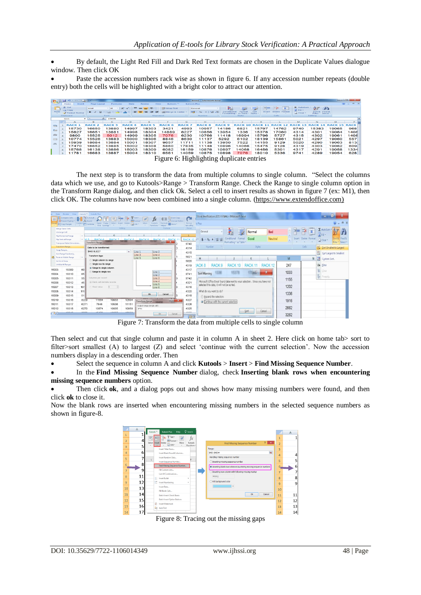By default, the Light Red Fill and Dark Red Text formats are chosen in the Duplicate Values dialogue window. Then click OK

 Paste the accession numbers rack wise as shown in figure 6. If any accession number repeats (double entry) both the cells will be highlighted with a bright color to attract our attention.

| <b>SB</b>                                                                                                                                      |              | <b>WARD TO THE CALL AND</b>       |                              |              |                        |                |                      |                     | <b>Book1 - Microsoft Excel</b>                        |               |                                            |                |               |                                  |                                    |         | <b>Contract Contract Contract Contract Contract Contract Contract Contract Contract Contract Contract Contract Contract Contract Contract Contract Contract Contract Contract Contract Contract Contract Contract Contract Contr</b> |
|------------------------------------------------------------------------------------------------------------------------------------------------|--------------|-----------------------------------|------------------------------|--------------|------------------------|----------------|----------------------|---------------------|-------------------------------------------------------|---------------|--------------------------------------------|----------------|---------------|----------------------------------|------------------------------------|---------|--------------------------------------------------------------------------------------------------------------------------------------------------------------------------------------------------------------------------------------|
|                                                                                                                                                |              | Home<br>Insert                    | Page Lavout                  | Formulas     | Data                   | Review<br>View | Kutools <sup>n</sup> | <b>Kutools Plus</b> |                                                       |               |                                            |                |               |                                  |                                    |         | $90 - 72$                                                                                                                                                                                                                            |
| <b>TICOM</b>                                                                                                                                   |              | $\frac{1}{26}$ Cut                | Ariat                        | $-16$<br>- 2 | $\Lambda$<br>$\Lambda$ | $-42.4$        | <b>Wrap Text</b>     |                     | General                                               | するの           |                                            |                | Œ             | $\Sigma$ AutoSum                 | <b>CAR</b><br>$\sim$               |         |                                                                                                                                                                                                                                      |
| Paste                                                                                                                                          |              | <b>Lia</b> Copy<br>Format Painter | $\mathbf{H}$<br>$\mathbf{H}$ | $-100 - 16$  |                        |                | Fail Merge & Center  |                     | $240 - 96$<br>$\bullet$ $\frac{1}{68}$ $\frac{0}{68}$ | Conditional   | Format<br>Formatting * as Table * Styles * | Cell<br>Insert | Delete Formal | al rin -<br>$\mathbb{Z}$ Clear + | Sort & Find &<br>Filter * Select * |         |                                                                                                                                                                                                                                      |
| <b>Card</b><br>Clipboard<br>Alignment<br>Styles<br>Cells<br>Editina<br>Font<br><b>Contract</b><br><b>College</b><br>Number<br><b>Cold Inc.</b> |              |                                   |                              |              |                        |                |                      |                     |                                                       |               |                                            |                |               |                                  |                                    |         |                                                                                                                                                                                                                                      |
| $f_*$ 15978<br>Q11<br>$ -$                                                                                                                     |              |                                   |                              |              |                        |                |                      |                     |                                                       |               |                                            |                |               |                                  |                                    |         |                                                                                                                                                                                                                                      |
|                                                                                                                                                |              | $\mathbf{A}$                      | в                            |              | $\circ$                |                |                      | G                   | н                                                     |               |                                            |                |               | M                                | N                                  | $\circ$ | P                                                                                                                                                                                                                                    |
| CD <sub>2</sub>                                                                                                                                |              | <b>RACK</b>                       | <b>RACK 2</b>                | <b>RACK3</b> | <b>RACK4</b>           | <b>RACK 5</b>  | <b>RACK 6</b>        | <b>RACK7</b>        | RACK 8                                                | <b>RACK 9</b> | RACK                                       |                |               |                                  | 14                                 | RACK 15 | <b>RACK</b>                                                                                                                                                                                                                          |
| $x =$                                                                                                                                          |              | 15730                             | 16650                        | 13880        | 14997                  | 18303          | 3421                 | 4993                | 10957                                                 | 14186         | 6821                                       | 15797          | 14762         | 9740                             | 15383                              | 19065   | 968                                                                                                                                                                                                                                  |
|                                                                                                                                                |              | 15827                             | 16651                        | 13881        | 14998                  | 18304          | 14889                | 6227                | 10856                                                 | 13954         | 1336                                       | 15378          | 17060         | 4314                             | 4301                               | 19064   | 1406                                                                                                                                                                                                                                 |
| $\Rightarrow$                                                                                                                                  |              | 9800                              | 15525                        | 5012         | 14999                  | 18305          | 7076                 | 6230                | 10766                                                 | 11418         | 16994                                      | 15796          | 5727          | 4315                             | 4302                               | 1906'   | 1408                                                                                                                                                                                                                                 |
| <b>FIRTH</b>                                                                                                                                   |              | 10774                             | 15526                        | 13883        | 15000                  | 18306          | 8846                 | 8630                | 11137                                                 | 5292          | 6102                                       | 18139          | 15861         | 5021                             | 4297                               | 19060   | 557                                                                                                                                                                                                                                  |
| ADD                                                                                                                                            |              | 15939                             | 18684                        | 13884        | 15001                  | 18307          | 9657                 | 11711               | 11138                                                 | 13950         | 7522                                       | 14155          | 9129          | 5020                             | 4290                               | 19063   | 813                                                                                                                                                                                                                                  |
|                                                                                                                                                |              | 17470                             | 16652                        | 13885        | 15002                  | 18308          | 5860                 | 17835               | 11148                                                 | 10896         | 14066                                      | 15475          | 9128          | 4319                             | 4303                               | 19062   | 609                                                                                                                                                                                                                                  |
|                                                                                                                                                |              | 15768                             | 16138                        | 13886        | 15003                  | 18309          | 6082                 | 16159               | 10876                                                 | 10897         | 14068                                      | 16456          | 5301          | 4317                             | 4291                               | 19058   | 1334                                                                                                                                                                                                                                 |
|                                                                                                                                                | $\mathbf{G}$ | 11781                             | 16683                        | 13887        | 15004                  | 18310          | 6561                 | 14059               | 10875                                                 | 10898         | 7076                                       | 18010          | 5336          | 9741                             | 4289                               | 19054   | 628                                                                                                                                                                                                                                  |

Figure 6: Highlighting duplicate entries

The next step is to transform the data from multiple columns to single column. "Select the columns data which we use, and go to Kutools>Range > Transform Range. Check the Range to single column option in the Transform Range dialog, and then click Ok. Select a cell to insert results as shown in figure 7 (ex: M1), then click OK. The columns have now been combined into a single column. [\(https://www.extendoffice.com\)](https://www.extendoffice.com)/)

| Kutools <sup>ne</sup><br>Review View<br>Kutools Plus<br>Data<br>а<br>Stock Verification 2019 FINAL - Microsoft Excel<br><b>E MTo Actual</b><br><b>Exact Copy</b> |                                                                                                                                                                  |                |                               |                    |                  |                             |                  |                |                                 |                     |                                                                              |                         |        |               |                    |      |                             |                                       |  |
|------------------------------------------------------------------------------------------------------------------------------------------------------------------|------------------------------------------------------------------------------------------------------------------------------------------------------------------|----------------|-------------------------------|--------------------|------------------|-----------------------------|------------------|----------------|---------------------------------|---------------------|------------------------------------------------------------------------------|-------------------------|--------|---------------|--------------------|------|-----------------------------|---------------------------------------|--|
|                                                                                                                                                                  | <b>Dentry Strevent Typing *   7</b>                                                                                                                              |                | $5$ <sub>kound</sub>          |                    | R                |                             | $\{(x)\}\$       | Convert Refers | Q                               |                     |                                                                              |                         |        |               |                    |      |                             |                                       |  |
|                                                                                                                                                                  | Select<br>Content Combine<br>Insert Delete Instink -<br>More<br>Formula More<br>Fuzzy<br>Kutools:<br>Super<br>PECopy Ranges<br>Find Lookup<br>Functions * Helper |                |                               |                    |                  |                             |                  |                | Re-run<br>last utility.         | $\sigma$<br>Is Plus |                                                                              |                         |        |               |                    |      |                             |                                       |  |
|                                                                                                                                                                  | Menge Same Cells                                                                                                                                                 |                |                               |                    | Editing          |                             | Formula          |                | Rerun                           |                     |                                                                              |                         |        |               |                    |      |                             | $\Sigma$ AutoSum                      |  |
|                                                                                                                                                                  | Unmerge Cell                                                                                                                                                     |                |                               |                    |                  |                             |                  |                |                                 | General             |                                                                              |                         |        | Normal        | Bad                |      | U                           | 3 Filt -                              |  |
|                                                                                                                                                                  | Flip Horizontal Range<br><b>Flip Vertical Range</b>                                                                                                              | . .            | RACK 6<br><b>KINS</b>         | G<br><b>RACK 7</b> |                  | RACK 8 RACK 9 RACK 10 RACK  |                  |                |                                 |                     |                                                                              | Conditional             | Format | Good          | Neutral            |      | <b>Insert Delete Format</b> | Sort & Find &                         |  |
|                                                                                                                                                                  | Transpose Table Dimensions                                                                                                                                       |                | Transform Range               |                    |                  |                             |                  | ×              | RACK <sub>12</sub><br>9740      | $S - 96$            |                                                                              | Formatting * as Table * |        |               |                    |      |                             | $Q$ Clear $\sim$<br>Filter - Select - |  |
|                                                                                                                                                                  | Transform Range.                                                                                                                                                 |                | Data to be transformed:       |                    |                  |                             |                  |                | 4314                            |                     | Number                                                                       |                         |        | <b>Styles</b> |                    |      | Cells                       | Sort Smallest to Largest              |  |
|                                                                                                                                                                  | Swap Ranges                                                                                                                                                      |                | SA\$1:\$L\$227                |                    | <b>BC</b>        | Line 1                      | Line 2           |                |                                 |                     |                                                                              |                         |        |               |                    |      |                             |                                       |  |
|                                                                                                                                                                  | Sort Range Randomly                                                                                                                                              |                | Transform type                |                    |                  | Line 3                      | Line 4           |                | 4315                            |                     |                                                                              |                         |        |               |                    |      |                             | Sort Largest to Smallest              |  |
| a.                                                                                                                                                               | Paste to Visible Range                                                                                                                                           | . .            | Single column to range        |                    |                  | Line 5                      | Line 6           |                | 5021                            | H                   |                                                                              |                         |        |               |                    | M    | N.                          | Cystom Sort.<br>$+1$                  |  |
|                                                                                                                                                                  | Set Scroll Area<br>Unhide All Ranges                                                                                                                             |                | Single row to range           |                    |                  |                             |                  |                | 5020                            |                     |                                                                              |                         |        |               |                    |      |                             |                                       |  |
|                                                                                                                                                                  |                                                                                                                                                                  |                | . Range to single column      |                    |                  |                             |                  |                | 4319                            | ACK 8               | <b>RACK</b>                                                                  | <b>RACK</b>             |        |               | RACK <sub>12</sub> | 247  |                             | Ye Filter                             |  |
| 15003                                                                                                                                                            | 18309                                                                                                                                                            | 60             | Range to single row           |                    |                  |                             | Line 1           |                | 4317                            |                     |                                                                              |                         |        |               | $\mathbf x$        | 1033 |                             | <b>K</b> Clear                        |  |
| 15004                                                                                                                                                            | 18310                                                                                                                                                            | 65             |                               |                    |                  |                             | Line 2           |                | 9741                            | Sort Warning        |                                                                              |                         |        |               |                    |      |                             | <b>P</b> Resply                       |  |
| 15005                                                                                                                                                            | 18311                                                                                                                                                            | 55             | Columns per record            |                    |                  |                             | Line 3<br>Line 4 |                | 9742                            |                     | Microsoft Office Excel found data next to your selection. Since you have not |                         |        |               |                    | 1155 |                             |                                       |  |
| 15006                                                                                                                                                            | 18312                                                                                                                                                            | 45             | 5 Blank cell delimits records |                    |                  |                             | Line 5           |                | 4321                            |                     | selected this data, it will not be sorted.                                   |                         |        |               |                    |      |                             |                                       |  |
| 15007                                                                                                                                                            | 18313                                                                                                                                                            | 161            | Fixed value                   | $\frac{1}{2}$<br>5 |                  |                             | Line 6           |                | 4316                            |                     |                                                                              |                         |        |               |                    | 1202 |                             |                                       |  |
| 15008                                                                                                                                                            | 18314                                                                                                                                                            | 117            |                               |                    |                  | <b>Ok</b>                   | Cancel           |                | 4320                            |                     | What do you want to do?                                                      |                         |        |               |                    | 1336 |                             |                                       |  |
| 15009                                                                                                                                                            | 18315                                                                                                                                                            | 51             |                               |                    |                  |                             |                  |                | 4318                            |                     | Expand the selection                                                         |                         |        |               |                    |      |                             |                                       |  |
| 15010                                                                                                                                                            | 18316                                                                                                                                                            | 8229           | 11584                         | 10933              | 12604            | <b>Transform Range</b>      |                  | <b>HOLD</b>    | 4327                            |                     | · Continue with the current selection                                        |                         |        |               |                    | 1916 |                             |                                       |  |
| 15011                                                                                                                                                            | 18317                                                                                                                                                            | 6271           | 7646                          | 10936              | 11151            | Output range (single cell): |                  |                | 4326                            |                     |                                                                              |                         |        |               |                    |      |                             |                                       |  |
| 15012                                                                                                                                                            | 18318                                                                                                                                                            | 6270           | 13874                         | 10935              | 10959            | \$7-15.1                    |                  |                | 4325                            |                     |                                                                              |                         | Sort   |               | Cancel             | 2662 |                             |                                       |  |
| 17817                                                                                                                                                            | max <sub>1</sub>                                                                                                                                                 | $\overline{a}$ | <b>ALAMA</b>                  | <b>AAAB</b>        | $\sum_{i=1}^{n}$ |                             | -CK              | Cancel         | <b>ARAA</b><br><b>Lives</b> and |                     |                                                                              |                         |        |               |                    | 3262 |                             |                                       |  |

Figure 7: Transform the data from multiple cells to single column

Then select and cut that single column and paste it in column A in sheet 2. Here click on home tab> sort to filter>sort smallest (A) to largest (Z) and select 'continue with the current selection'. Now the accession numbers display in a descending order. Then

Select the sequence in column A and click **Kutools** > **Insert** > **Find Missing Sequence Number**.

 In the **Find Missing Sequence Number** dialog, check **Inserting blank rows when encountering missing sequence numbers** option.

 Then click **ok**, and a dialog pops out and shows how many missing numbers were found, and then click **ok** to close it.

Now the blank rows are inserted when encountering missing numbers in the selected sequence numbers as shown in figure-8.



Figure 8: Tracing out the missing gaps